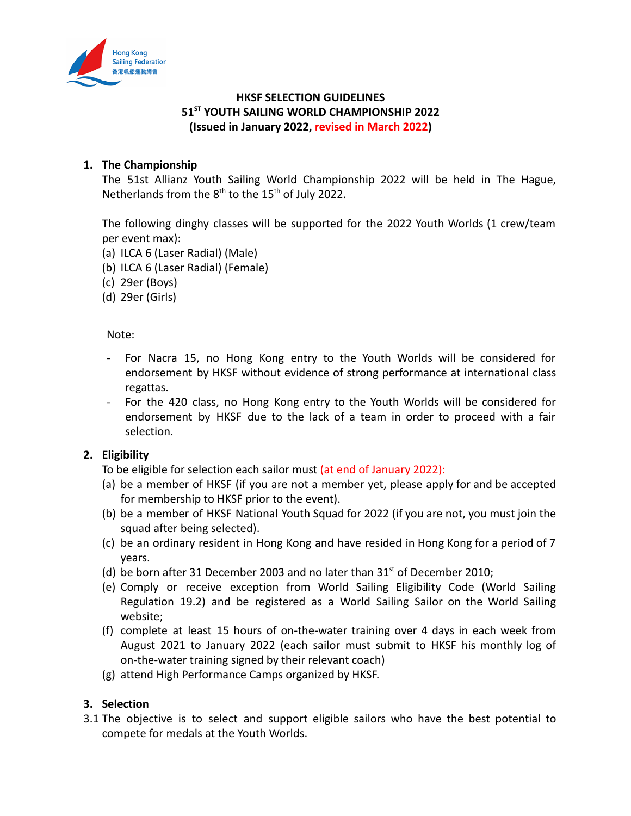

# **HKSF SELECTION GUIDELINES 51ST YOUTH SAILING WORLD CHAMPIONSHIP 2022 (Issued in January 2022, revised in March 2022)**

# **1. The Championship**

The 51st Allianz Youth Sailing World Championship 2022 will be held in The Hague, Netherlands from the  $8<sup>th</sup>$  to the 15<sup>th</sup> of July 2022.

The following dinghy classes will be supported for the 2022 Youth Worlds (1 crew/team per event max):

- (a) ILCA 6 (Laser Radial) (Male)
- (b) ILCA 6 (Laser Radial) (Female)
- (c) 29er (Boys)
- (d) 29er (Girls)

Note:

- For Nacra 15, no Hong Kong entry to the Youth Worlds will be considered for endorsement by HKSF without evidence of strong performance at international class regattas.
- For the 420 class, no Hong Kong entry to the Youth Worlds will be considered for endorsement by HKSF due to the lack of a team in order to proceed with a fair selection.

### **2. Eligibility**

To be eligible for selection each sailor must (at end of January 2022):

- (a) be a member of HKSF (if you are not a member yet, please apply for and be accepted for membership to HKSF prior to the event).
- (b) be a member of HKSF National Youth Squad for 2022 (if you are not, you must join the squad after being selected).
- (c) be an ordinary resident in Hong Kong and have resided in Hong Kong for a period of 7 years.
- (d) be born after 31 December 2003 and no later than  $31<sup>st</sup>$  of December 2010;
- (e) Comply or receive exception from World Sailing Eligibility Code (World Sailing Regulation 19.2) and be registered as a World Sailing Sailor on the World Sailing website;
- (f) complete at least 15 hours of on-the-water training over 4 days in each week from August 2021 to January 2022 (each sailor must submit to HKSF his monthly log of on-the-water training signed by their relevant coach)
- (g) attend High Performance Camps organized by HKSF.

# **3. Selection**

3.1 The objective is to select and support eligible sailors who have the best potential to compete for medals at the Youth Worlds.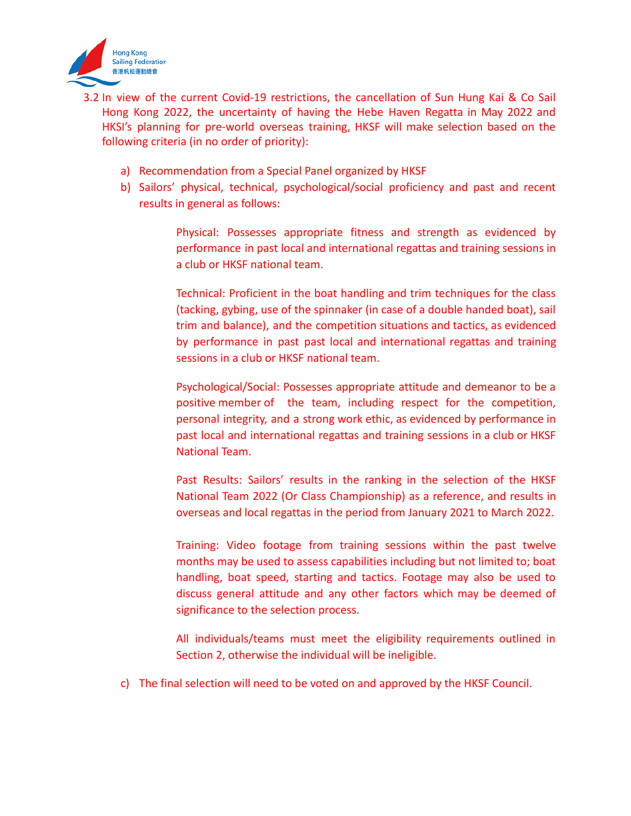

- 3.2 In view of the current Covid-19 restrictions, the cancellation of Sun Hung Kai & Co Sail Hong Kong 2022, the uncertainty of having the Hebe Haven Regatta in May 2022 and HKSI's planning for pre-world overseas training, HKSF will make selection based on the following criteria (in no order of priority):
	- a) Recommendation from a Special Panel organized by HKSF
	- b) Sailors' physical, technical, psychological/social proficiency and past and recent results in general as follows:

Physical: Possesses appropriate fitness and strength as evidenced by performance in past local and international regattas and training sessions in a club or HKSF national team.

Technical: Proficient in the boat handling and trim techniques for the class (tacking, gybing, use of the spinnaker (in case of a double handed boat), sail trim and balance), and the competition situations and tactics, as evidenced by performance in past past local and international regattas and training sessions in a club or HKSF national team.

Psychological/Social: Possesses appropriate attitude and demeanor to be a positive member of the team, including respect for the competition, personal integrity, and a strong work ethic, as evidenced by performance in past local and international regattas and training sessions in a club or HKSF National Team.

Past Results: Sailors' results in the ranking in the selection of the HKSF National Team 2022 (Or Class Championship) as a reference, and results in overseas and local regattas in the period from January 2021 to March 2022.

Training: Video footage from training sessions within the past twelve months may be used to assess capabilities including but not limited to; boat handling, boat speed, starting and tactics. Footage may also be used to discuss general attitude and any other factors which may be deemed of significance to the selection process.

All individuals/teams must meet the eligibility requirements outlined in Section 2, otherwise the individual will be ineligible.

c) The final selection will need to be voted on and approved by the HKSF Council.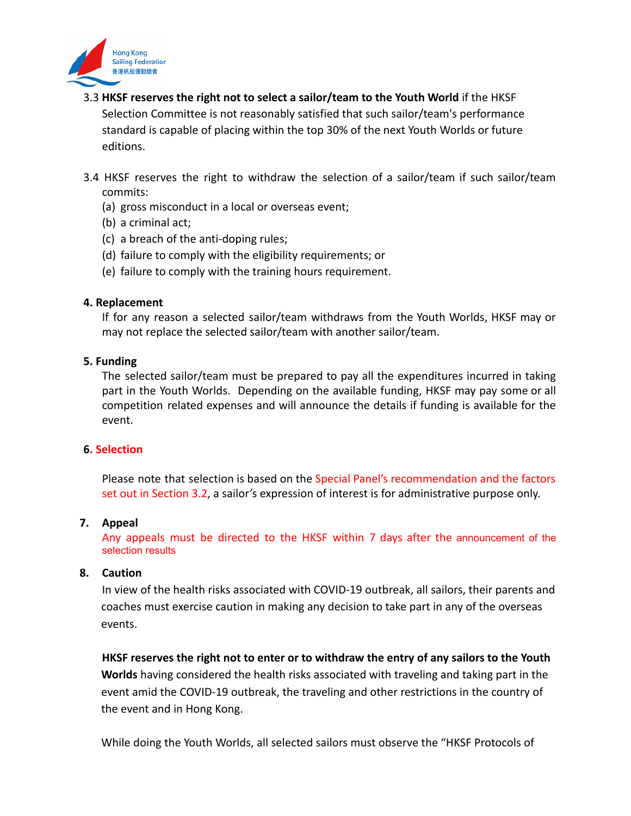

- 3.3 **HKSF reserves the right not to select a sailor/team to the Youth World** if the HKSF Selection Committee is not reasonably satisfied that such sailor/team's performance standard is capable of placing within the top 30% of the next Youth Worlds or future editions.
- 3.4 HKSF reserves the right to withdraw the selection of a sailor/team if such sailor/team commits:
	- (a) gross misconduct in a local or overseas event;
	- (b) a criminal act;
	- (c) a breach of the anti-doping rules;
	- (d) failure to comply with the eligibility requirements; or
	- (e) failure to comply with the training hours requirement.

### **4. Replacement**

If for any reason a selected sailor/team withdraws from the Youth Worlds, HKSF may or may not replace the selected sailor/team with another sailor/team.

#### **5. Funding**

The selected sailor/team must be prepared to pay all the expenditures incurred in taking part in the Youth Worlds. Depending on the available funding, HKSF may pay some or all competition related expenses and will announce the details if funding is available for the event.

### **6. Selection**

Please note that selection is based on the Special Panel's recommendation and the factors set out in Section 3.2, a sailor's expression of interest is for administrative purpose only.

#### **7. Appeal**

Any appeals must be directed to the HKSF within 7 days after the announcement of the selection results

#### **8. Caution**

In view of the health risks associated with COVID-19 outbreak, all sailors, their parents and coaches must exercise caution in making any decision to take part in any of the overseas events.

**HKSF reserves the right not to enter or to withdraw the entry of any sailors to the Youth Worlds** having considered the health risks associated with traveling and taking part in the event amid the COVID-19 outbreak, the traveling and other restrictions in the country of the event and in Hong Kong.

While doing the Youth Worlds, all selected sailors must observe the "HKSF Protocols of